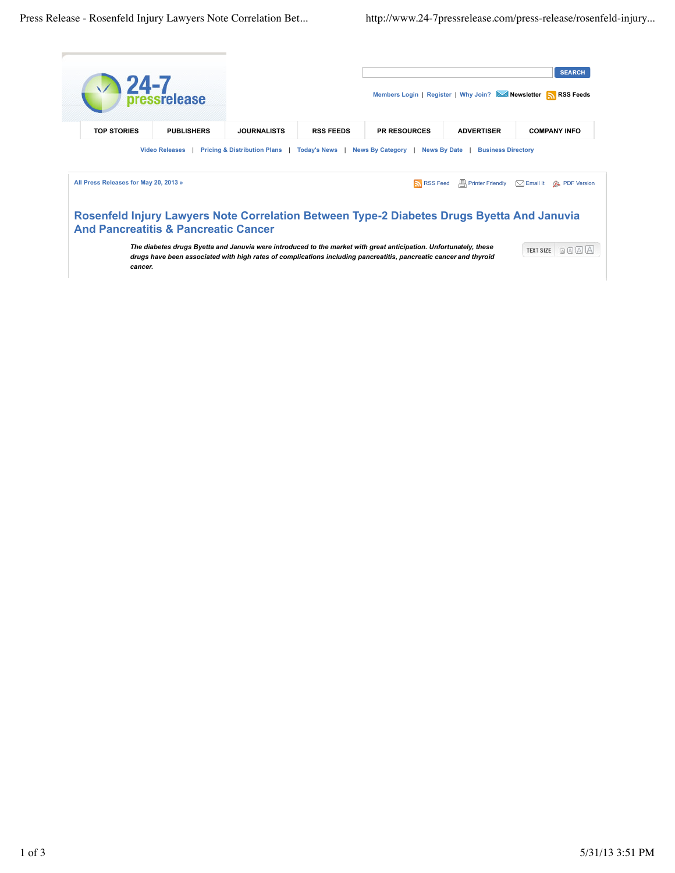|                                                                                                                                                                                                                                                                                                                     | $\sum_{\text{pressure}}$ |                    |                  |                     |                   | <b>SEARCH</b><br>Members Login   Register   Why Join? Newsletter NRSS Feeds |
|---------------------------------------------------------------------------------------------------------------------------------------------------------------------------------------------------------------------------------------------------------------------------------------------------------------------|--------------------------|--------------------|------------------|---------------------|-------------------|-----------------------------------------------------------------------------|
| <b>TOP STORIES</b>                                                                                                                                                                                                                                                                                                  | <b>PUBLISHERS</b>        | <b>JOURNALISTS</b> | <b>RSS FEEDS</b> | <b>PR RESOURCES</b> | <b>ADVERTISER</b> | <b>COMPANY INFO</b>                                                         |
| <b>Video Releases</b><br><b>Pricing &amp; Distribution Plans</b><br>News By Category  <br>News By Date  <br><b>Todav's News</b><br><b>Business Directory</b><br>All Press Releases for May 20, 2013 »<br>$\frac{ \mathbf{H} }{ \mathbf{H} }$ Printer Friendly $\Box$ Email It<br><b>N</b> RSS Feed<br>杰 PDF Version |                          |                    |                  |                     |                   |                                                                             |
| Rosenfeld Injury Lawyers Note Correlation Between Type-2 Diabetes Drugs Byetta And Januvia<br><b>And Pancreatitis &amp; Pancreatic Cancer</b>                                                                                                                                                                       |                          |                    |                  |                     |                   |                                                                             |
| The diabetes drugs Byetta and Januvia were introduced to the market with great anticipation. Unfortunately, these<br>QAAA<br><b>TEXT SIZE</b><br>drugs have been associated with high rates of complications including pancreatitis, pancreatic cancer and thyroid<br>cancer.                                       |                          |                    |                  |                     |                   |                                                                             |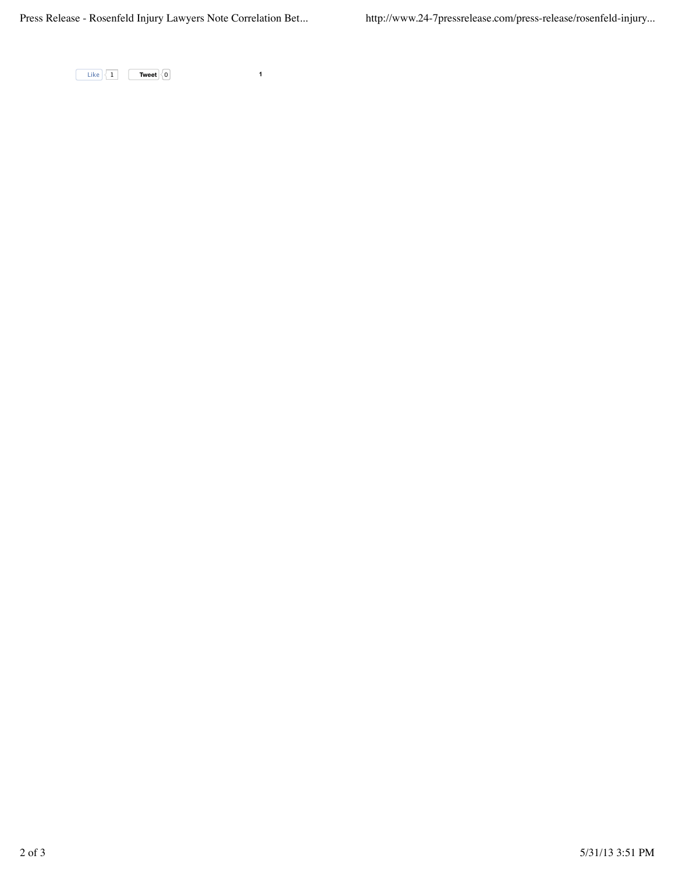